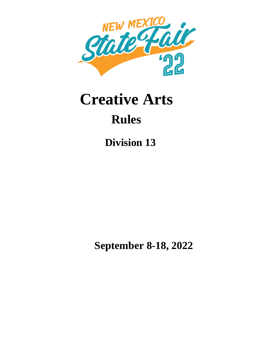

## **Creative Arts Rules**

 **Division 13**

 **September 8-18, 2022**